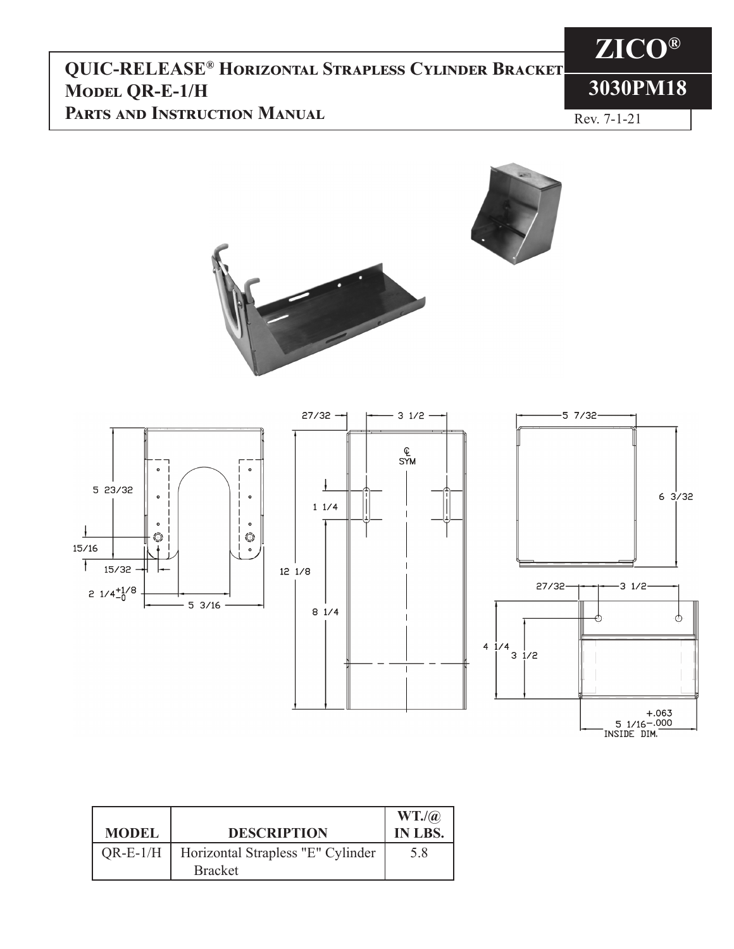### **QUIC-RELEASE® Horizontal Strapless Cylinder Bracket Model QR-E-1/H Parts and Instruction Manual**

# **3030PM18**

**ZICO®**

Rev. 7-1-21



 $31/2 -$ 

**Q**<br>SYM





| <b>MODEL</b> | <b>DESCRIPTION</b>                                  | WT.(a)<br>IN LBS. |
|--------------|-----------------------------------------------------|-------------------|
| $QR-E-1/H$   | Horizontal Strapless "E" Cylinder<br><b>Bracket</b> | 5.8               |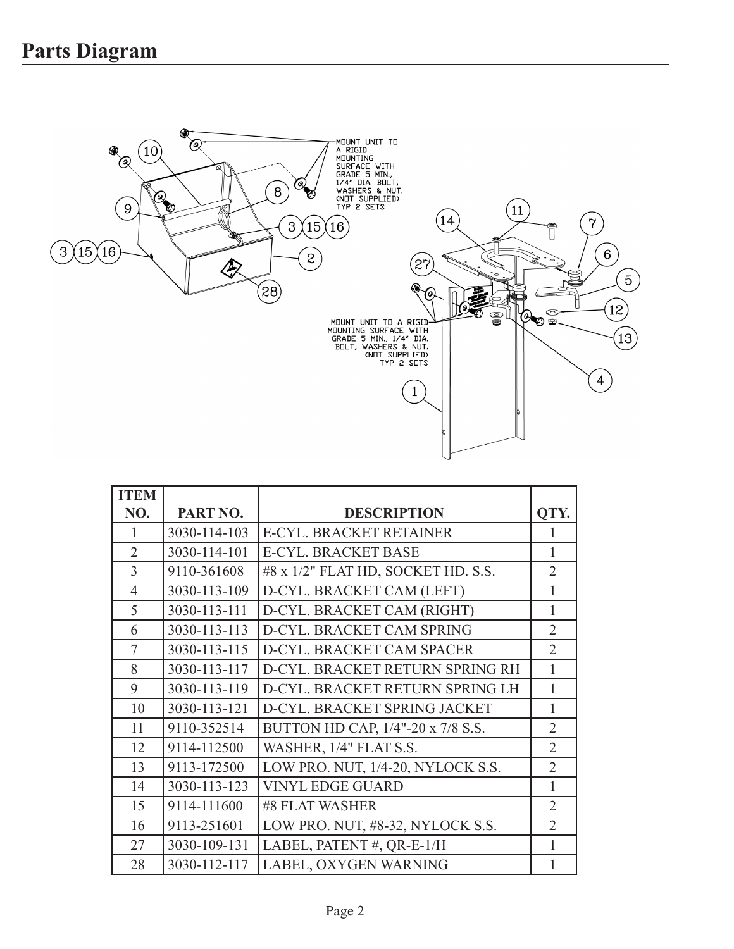

| <b>ITEM</b>    |              |                                    |                |
|----------------|--------------|------------------------------------|----------------|
| NO.            | PART NO.     | <b>DESCRIPTION</b>                 | QTY.           |
| 1              | 3030-114-103 | E-CYL. BRACKET RETAINER            | 1              |
| $\overline{2}$ | 3030-114-101 | <b>E-CYL. BRACKET BASE</b>         | 1              |
| 3              | 9110-361608  | #8 x 1/2" FLAT HD, SOCKET HD. S.S. | $\overline{2}$ |
| $\overline{4}$ | 3030-113-109 | D-CYL. BRACKET CAM (LEFT)          | 1              |
| 5              | 3030-113-111 | D-CYL. BRACKET CAM (RIGHT)         | 1              |
| 6              | 3030-113-113 | D-CYL. BRACKET CAM SPRING          | $\overline{2}$ |
| 7              | 3030-113-115 | D-CYL. BRACKET CAM SPACER          | $\overline{2}$ |
| 8              | 3030-113-117 | D-CYL. BRACKET RETURN SPRING RH    | 1              |
| 9              | 3030-113-119 | D-CYL. BRACKET RETURN SPRING LH    | 1              |
| 10             | 3030-113-121 | D-CYL. BRACKET SPRING JACKET       | 1              |
| 11             | 9110-352514  | BUTTON HD CAP, 1/4"-20 x 7/8 S.S.  | $\overline{2}$ |
| 12             | 9114-112500  | WASHER, 1/4" FLAT S.S.             | $\overline{2}$ |
| 13             | 9113-172500  | LOW PRO. NUT, 1/4-20, NYLOCK S.S.  | $\overline{2}$ |
| 14             | 3030-113-123 | <b>VINYL EDGE GUARD</b>            | $\mathbf{1}$   |
| 15             | 9114-111600  | #8 FLAT WASHER                     | $\overline{2}$ |
| 16             | 9113-251601  | LOW PRO. NUT, #8-32, NYLOCK S.S.   | $\overline{2}$ |
| 27             | 3030-109-131 | LABEL, PATENT #, QR-E-1/H          | 1              |
| 28             | 3030-112-117 | LABEL, OXYGEN WARNING              |                |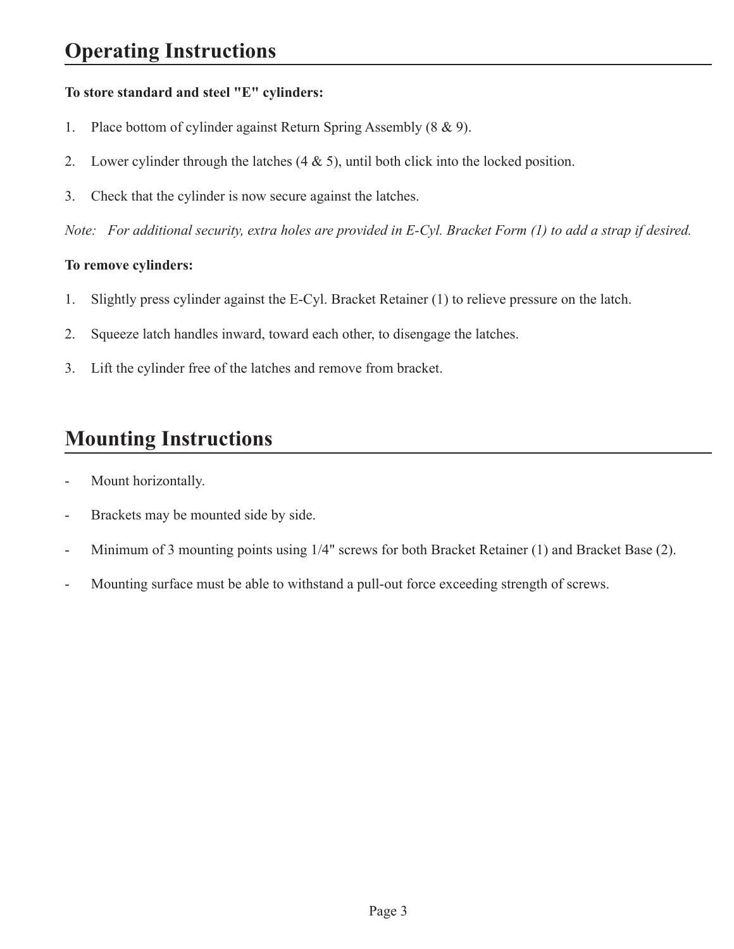#### **To store standard and steel "E" cylinders:**

- 1. Place bottom of cylinder against Return Spring Assembly (8 & 9).
- 2. Lower cylinder through the latches (4 & 5), until both click into the locked position.
- 3. Check that the cylinder is now secure against the latches.

*Note: For additional security, extra holes are provided in E-Cyl. Bracket Form (1) to add a strap if desired.*

#### **To remove cylinders:**

- 1. Slightly press cylinder against the E-Cyl. Bracket Retainer (1) to relieve pressure on the latch.
- 2. Squeeze latch handles inward, toward each other, to disengage the latches.
- 3. Lift the cylinder free of the latches and remove from bracket.

## **Mounting Instructions**

- Mount horizontally.
- Brackets may be mounted side by side.
- Minimum of 3 mounting points using 1/4" screws for both Bracket Retainer (1) and Bracket Base (2).
- Mounting surface must be able to withstand a pull-out force exceeding strength of screws.